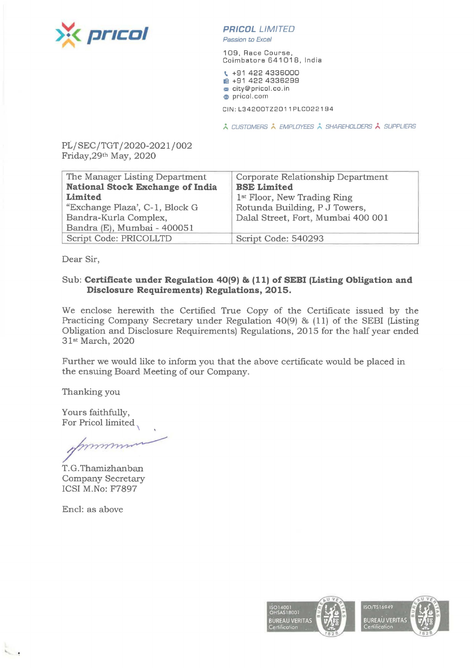

**PR/COL** *LIMITED*  Passion *to* Excel

109, Race Course, Coimbatore 641018, India

\ +91 422 4336000 **ia** +91 422 4336299 **m** city@pricol.co.in **e** pricol.com

CIN:L34200TZ2011PLC022194

\* CUSTOMERS \* EMPLOYEES \* SHAREHOLDERS \* SUPPLIERS

PL/SEC/TGT/2020-2021/002 Friday,29th May, 2020

| The Manager Listing Department          | Corporate Relationship Department       |
|-----------------------------------------|-----------------------------------------|
| <b>National Stock Exchange of India</b> | <b>BSE Limited</b>                      |
| Limited                                 | 1 <sup>st</sup> Floor, New Trading Ring |
| "Exchange Plaza', C-1, Block G          | Rotunda Building, P J Towers,           |
| Bandra-Kurla Complex,                   | Dalal Street, Fort, Mumbai 400 001      |
| Bandra (E), Mumbai - 400051             |                                         |
| Script Code: PRICOLLTD                  | Script Code: 540293                     |

Dear Sir,

## Sub: **Certificate under Regulation 40(9) & (11) of SEBI (Listing Obligation and Disclosure Requirements) Regulations, 2015.**

We enclose herewith the Certified True Copy of the Certificate issued by the Practicing Company Secretary under Regulation 40(9) & (11) of the SEBI (Listing Obligation and Disclosure Requirements) Regulations, 2015 for the half year ended 31st March, 2020

Further we would like to inform you that the above certificate would be placed in the ensuing Board Meeting of our Company.

Thanking you

Yours faithfully, For Pricol limited

mm

T. G .Thamizhanban Company Secretary ICSI M.No: F7897

Encl: as above